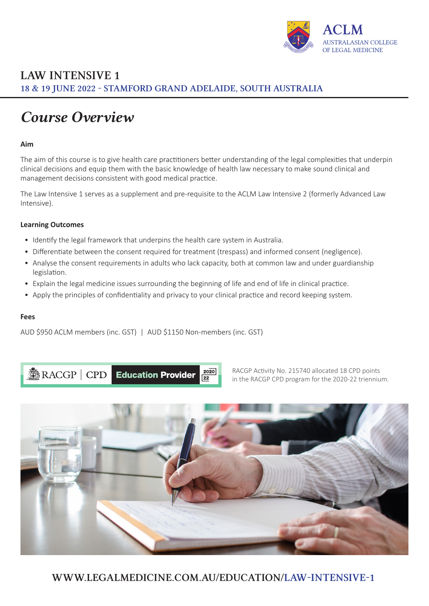

# *Course Overview*

### **Aim**

The aim of this course is to give health care practitioners better understanding of the legal complexities that underpin clinical decisions and equip them with the basic knowledge of health law necessary to make sound clinical and management decisions consistent with good medical practice.

The Law Intensive 1 serves as a supplement and pre-requisite to the ACLM Law Intensive 2 (formerly Advanced Law Intensive).

### **Learning Outcomes**

- Identify the legal framework that underpins the health care system in Australia.
- Differentiate between the consent required for treatment (trespass) and informed consent (negligence).
- Analyse the consent requirements in adults who lack capacity, both at common law and under guardianship legislation.
- Explain the legal medicine issues surrounding the beginning of life and end of life in clinical practice.
- Apply the principles of confidentiality and privacy to your clinical practice and record keeping system.

#### **Fees**

AUD \$950 ACLM members (inc. GST) | AUD \$1150 Non-members (inc. GST)

**RACGP** CPD Education Provider

RACGP Activity No. 215740 allocated 18 CPD points in the RACGP CPD program for the 2020-22 triennium.



 $20\overline{20}$  $\overline{22}$ 

[WWW.LEGALMEDICINE.COM.AU/EDUCATION/](https://legalmedicine.com.au/education/law-intensive-1/)LAW-INTENSIVE-1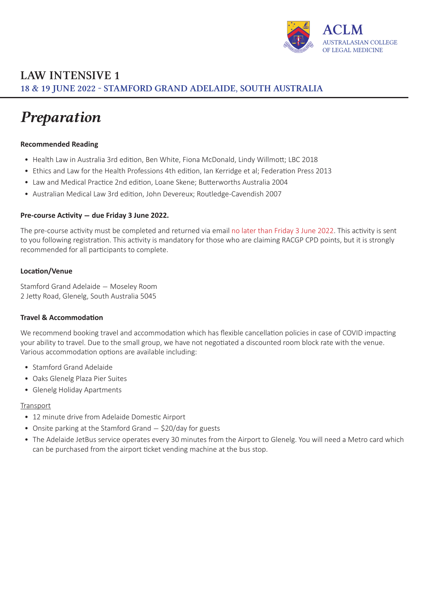

# *Preparation*

### **Recommended Reading**

- Health Law in Australia 3rd edition, Ben White, Fiona McDonald, Lindy Willmott; LBC 2018
- Ethics and Law for the Health Professions 4th edition, Ian Kerridge et al; Federation Press 2013
- Law and Medical Practice 2nd edition, Loane Skene; Butterworths Australia 2004
- Australian Medical Law 3rd edition, John Devereux; Routledge-Cavendish 2007

### **Pre-course Activity - due Friday 3 June 2022.**

The pre-course activity must be completed and returned via email no later than Friday 3 June 2022. This activity is sent to you following registration. This activity is mandatory for those who are claiming RACGP CPD points, but it is strongly recommended for all participants to complete.

### **Location/Venue**

Stamford Grand Adelaide - Moseley Room 2 Jetty Road, Glenelg, South Australia 5045

### **Travel & Accommodation**

We recommend booking travel and accommodation which has flexible cancellation policies in case of COVID impacting your ability to travel. Due to the small group, we have not negotiated a discounted room block rate with the venue. Various accommodation options are available including:

- Stamford Grand Adelaide
- Oaks Glenelg Plaza Pier Suites
- Glenelg Holiday Apartments

### Transport

- 12 minute drive from Adelaide Domestic Airport
- Onsite parking at the Stamford Grand \$20/day for guests
- The Adelaide JetBus service operates every 30 minutes from the Airport to Glenelg. You will need a Metro card which can be purchased from the airport ticket vending machine at the bus stop.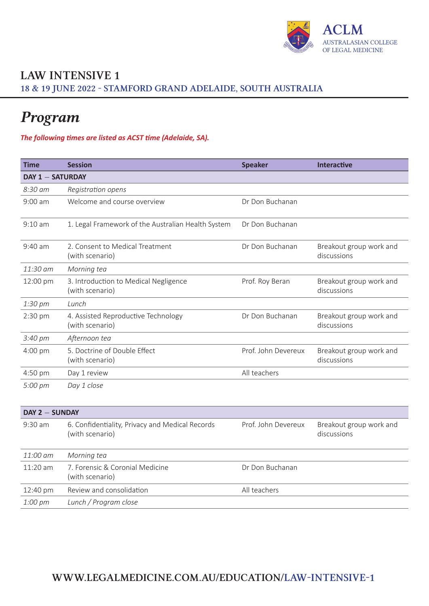

# *Program*

### *The following times are listed as ACST time (Adelaide, SA).*

| <b>Time</b>             | <b>Session</b>                                                     | <b>Speaker</b>      | <b>Interactive</b>                     |
|-------------------------|--------------------------------------------------------------------|---------------------|----------------------------------------|
| <b>DAY 1 - SATURDAY</b> |                                                                    |                     |                                        |
| 8:30 am                 | Registration opens                                                 |                     |                                        |
| $9:00$ am               | Welcome and course overview                                        | Dr Don Buchanan     |                                        |
| $9:10$ am               | 1. Legal Framework of the Australian Health System                 | Dr Don Buchanan     |                                        |
| $9:40$ am               | 2. Consent to Medical Treatment<br>(with scenario)                 | Dr Don Buchanan     | Breakout group work and<br>discussions |
| 11:30 am                | Morning tea                                                        |                     |                                        |
| 12:00 pm                | 3. Introduction to Medical Negligence<br>(with scenario)           | Prof. Roy Beran     | Breakout group work and<br>discussions |
| 1:30 pm                 | Lunch                                                              |                     |                                        |
| 2:30 pm                 | 4. Assisted Reproductive Technology<br>(with scenario)             | Dr Don Buchanan     | Breakout group work and<br>discussions |
| 3:40 pm                 | Afternoon tea                                                      |                     |                                        |
| 4:00 pm                 | 5. Doctrine of Double Effect<br>(with scenario)                    | Prof. John Devereux | Breakout group work and<br>discussions |
| 4:50 pm                 | Day 1 review                                                       | All teachers        |                                        |
| 5:00 pm                 | Day 1 close                                                        |                     |                                        |
| DAY 2 - SUNDAY          |                                                                    |                     |                                        |
| $9:30$ am               | 6. Confidentiality, Privacy and Medical Records<br>(with scenario) | Prof. John Devereux | Breakout group work and<br>discussions |
| 11:00 am                | Morning tea                                                        |                     |                                        |
| 11:20 am                | 7. Forensic & Coronial Medicine<br>(with scenario)                 | Dr Don Buchanan     |                                        |
| 12:40 pm                | Review and consolidation                                           | All teachers        |                                        |
| $1:00~\mathrm{pm}$      | Lunch / Program close                                              |                     |                                        |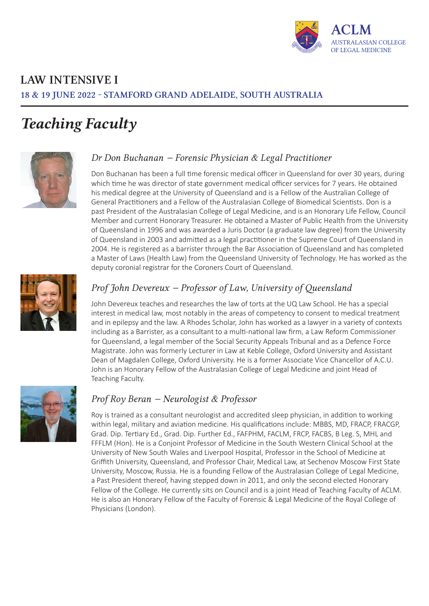

# *Teaching Faculty*



### *Dr Don Buchanan - Forensic Physician & Legal Practitioner*

Don Buchanan has been a full time forensic medical officer in Queensland for over 30 years, during which time he was director of state government medical officer services for 7 years. He obtained his medical degree at the University of Queensland and is a Fellow of the Australian College of General Practitioners and a Fellow of the Australasian College of Biomedical Scientists. Don is a past President of the Australasian College of Legal Medicine, and is an Honorary Life Fellow, Council Member and current Honorary Treasurer. He obtained a Master of Public Health from the University of Queensland in 1996 and was awarded a Juris Doctor (a graduate law degree) from the University of Queensland in 2003 and admitted as a legal practitioner in the Supreme Court of Queensland in 2004. He is registered as a barrister through the Bar Association of Queensland and has completed a Master of Laws (Health Law) from the Queensland University of Technology. He has worked as the deputy coronial registrar for the Coroners Court of Queensland.



## *Prof John Devereux - Professor of Law, University of Queensland*

John Devereux teaches and researches the law of torts at the UQ Law School. He has a special interest in medical law, most notably in the areas of competency to consent to medical treatment and in epilepsy and the law. A Rhodes Scholar, John has worked as a lawyer in a variety of contexts including as a Barrister, as a consultant to a multi-national law firm, a Law Reform Commissioner for Queensland, a legal member of the Social Security Appeals Tribunal and as a Defence Force Magistrate. John was formerly Lecturer in Law at Keble College, Oxford University and Assistant Dean of Magdalen College, Oxford University. He is a former Associate Vice Chancellor of A.C.U. John is an Honorary Fellow of the Australasian College of Legal Medicine and joint Head of Teaching Faculty.



## *Prof Roy Beran - Neurologist & Professor*

Roy is trained as a consultant neurologist and accredited sleep physician, in addition to working within legal, military and aviation medicine. His qualifications include: MBBS, MD, FRACP, FRACGP, Grad. Dip. Tertiary Ed., Grad. Dip. Further Ed., FAFPHM, FACLM, FRCP, FACBS, B Leg. S, MHL and FFFLM (Hon). He is a Conjoint Professor of Medicine in the South Western Clinical School at the University of New South Wales and Liverpool Hospital, Professor in the School of Medicine at Griffith University, Queensland, and Professor Chair, Medical Law, at Sechenov Moscow First State University, Moscow, Russia. He is a founding Fellow of the Australasian College of Legal Medicine, a Past President thereof, having stepped down in 2011, and only the second elected Honorary Fellow of the College. He currently sits on Council and is a joint Head of Teaching Faculty of ACLM. He is also an Honorary Fellow of the Faculty of Forensic & Legal Medicine of the Royal College of Physicians (London).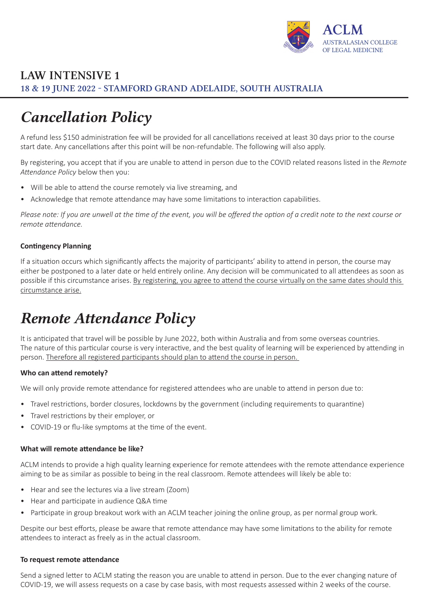

# *Cancellation Policy*

A refund less \$150 administration fee will be provided for all cancellations received at least 30 days prior to the course start date. Any cancellations after this point will be non-refundable. The following will also apply.

By registering, you accept that if you are unable to attend in person due to the COVID related reasons listed in the *Remote Attendance Policy* below then you:

- Will be able to attend the course remotely via live streaming, and
- Acknowledge that remote attendance may have some limitations to interaction capabilities.

*Please note: If you are unwell at the time of the event, you will be offered the option of a credit note to the next course or remote attendance.*

### **Contingency Planning**

If a situation occurs which significantly affects the majority of participants' ability to attend in person, the course may either be postponed to a later date or held entirely online. Any decision will be communicated to all attendees as soon as possible if this circumstance arises. By registering, you agree to attend the course virtually on the same dates should this circumstance arise.

# *Remote Attendance Policy*

It is anticipated that travel will be possible by June 2022, both within Australia and from some overseas countries. The nature of this particular course is very interactive, and the best quality of learning will be experienced by attending in person. Therefore all registered participants should plan to attend the course in person.

### **Who can attend remotely?**

We will only provide remote attendance for registered attendees who are unable to attend in person due to:

- Travel restrictions, border closures, lockdowns by the government (including requirements to quarantine)
- Travel restrictions by their employer, or
- COVID-19 or flu-like symptoms at the time of the event.

### **What will remote attendance be like?**

ACLM intends to provide a high quality learning experience for remote attendees with the remote attendance experience aiming to be as similar as possible to being in the real classroom. Remote attendees will likely be able to:

- Hear and see the lectures via a live stream (Zoom)
- Hear and participate in audience Q&A time
- Participate in group breakout work with an ACLM teacher joining the online group, as per normal group work.

Despite our best efforts, please be aware that remote attendance may have some limitations to the ability for remote attendees to interact as freely as in the actual classroom.

### **To request remote attendance**

Send a signed letter to ACLM stating the reason you are unable to attend in person. Due to the ever changing nature of COVID-19, we will assess requests on a case by case basis, with most requests assessed within 2 weeks of the course.